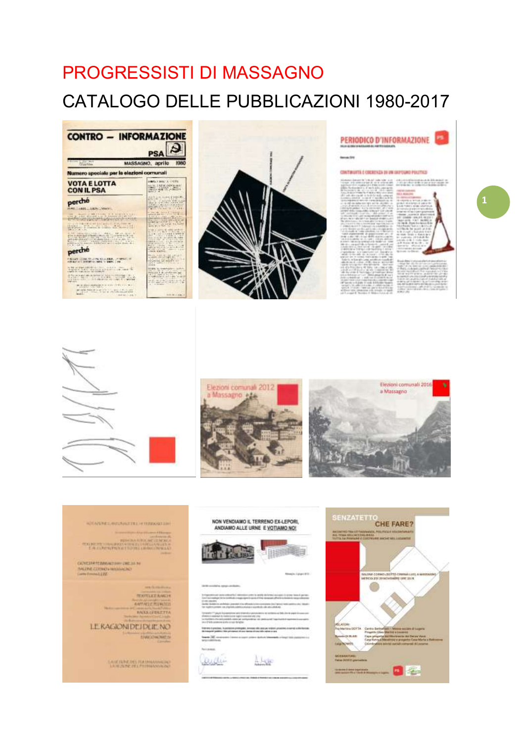# **PROGRESSISTI DI MASSAGNO CATALOGO DELLE PUBBLICAZIONI 1980-2017**





## PERIODICO D'INFORMAZIONE

 $-$ 

#### CONTINUITS É COEXENZA DI UN LIUYEURO POLITICO

the design of the state of the design at the state

 $1<sup>1</sup>$ 











### ADVANCE-MATCHAETHEL-FYERISSOLER-

(ANEINFRANANT) – (M. 2000)<br>SHARE (ARNO 1921–1920)<br>(My Franklijk

**TEXTUES AVEN ANTALLTINGMA MOLLITERETTA** 

LE RAGIONI DEJ DUE NO **THEOREM** 

**LASE FUNDEDES PERSONAGENEERS**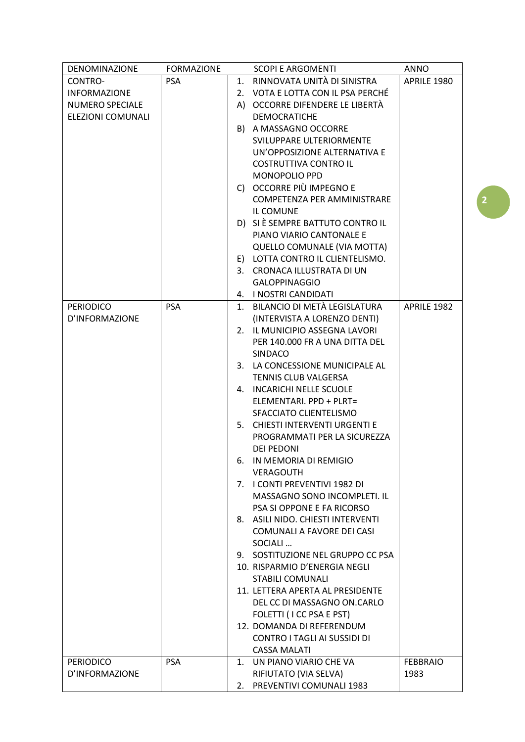| DENOMINAZIONE          | <b>FORMAZIONE</b> |    | <b>SCOPI E ARGOMENTI</b>            | <b>ANNO</b>     |
|------------------------|-------------------|----|-------------------------------------|-----------------|
| CONTRO-                | <b>PSA</b>        |    | 1. RINNOVATA UNITÀ DI SINISTRA      | APRILE 1980     |
| <b>INFORMAZIONE</b>    |                   |    | 2. VOTA E LOTTA CON IL PSA PERCHÉ   |                 |
| <b>NUMERO SPECIALE</b> |                   |    | A) OCCORRE DIFENDERE LE LIBERTÀ     |                 |
| ELEZIONI COMUNALI      |                   |    | <b>DEMOCRATICHE</b>                 |                 |
|                        |                   |    | B) A MASSAGNO OCCORRE               |                 |
|                        |                   |    | SVILUPPARE ULTERIORMENTE            |                 |
|                        |                   |    | UN'OPPOSIZIONE ALTERNATIVA E        |                 |
|                        |                   |    | <b>COSTRUTTIVA CONTRO IL</b>        |                 |
|                        |                   |    | <b>MONOPOLIO PPD</b>                |                 |
|                        |                   |    | C) OCCORRE PIÙ IMPEGNO E            |                 |
|                        |                   |    | COMPETENZA PER AMMINISTRARE         |                 |
|                        |                   |    | IL COMUNE                           |                 |
|                        |                   |    | D) SI È SEMPRE BATTUTO CONTRO IL    |                 |
|                        |                   |    | PIANO VIARIO CANTONALE E            |                 |
|                        |                   |    | QUELLO COMUNALE (VIA MOTTA)         |                 |
|                        |                   |    | E) LOTTA CONTRO IL CLIENTELISMO.    |                 |
|                        |                   |    | 3. CRONACA ILLUSTRATA DI UN         |                 |
|                        |                   |    | <b>GALOPPINAGGIO</b>                |                 |
|                        |                   |    | 4. I NOSTRI CANDIDATI               |                 |
|                        | <b>PSA</b>        |    | 1. BILANCIO DI METÀ LEGISLATURA     | APRILE 1982     |
| <b>PERIODICO</b>       |                   |    |                                     |                 |
| D'INFORMAZIONE         |                   |    | (INTERVISTA A LORENZO DENTI)        |                 |
|                        |                   |    | 2. IL MUNICIPIO ASSEGNA LAVORI      |                 |
|                        |                   |    | PER 140.000 FR A UNA DITTA DEL      |                 |
|                        |                   |    | SINDACO                             |                 |
|                        |                   |    | 3. LA CONCESSIONE MUNICIPALE AL     |                 |
|                        |                   |    | TENNIS CLUB VALGERSA                |                 |
|                        |                   |    | 4. INCARICHI NELLE SCUOLE           |                 |
|                        |                   |    | ELEMENTARI. PPD + PLRT=             |                 |
|                        |                   |    | SFACCIATO CLIENTELISMO              |                 |
|                        |                   |    | 5. CHIESTI INTERVENTI URGENTI E     |                 |
|                        |                   |    | PROGRAMMATI PER LA SICUREZZA        |                 |
|                        |                   |    | <b>DEI PEDONI</b>                   |                 |
|                        |                   |    | 6. IN MEMORIA DI REMIGIO            |                 |
|                        |                   |    | <b>VERAGOUTH</b>                    |                 |
|                        |                   |    | 7. I CONTI PREVENTIVI 1982 DI       |                 |
|                        |                   |    | MASSAGNO SONO INCOMPLETI. IL        |                 |
|                        |                   |    | PSA SI OPPONE E FA RICORSO          |                 |
|                        |                   |    | 8. ASILI NIDO. CHIESTI INTERVENTI   |                 |
|                        |                   |    | COMUNALI A FAVORE DEI CASI          |                 |
|                        |                   |    | SOCIALI                             |                 |
|                        |                   |    | 9. SOSTITUZIONE NEL GRUPPO CC PSA   |                 |
|                        |                   |    | 10. RISPARMIO D'ENERGIA NEGLI       |                 |
|                        |                   |    | <b>STABILI COMUNALI</b>             |                 |
|                        |                   |    | 11. LETTERA APERTA AL PRESIDENTE    |                 |
|                        |                   |    | DEL CC DI MASSAGNO ON CARLO         |                 |
|                        |                   |    | FOLETTI (I CC PSA E PST)            |                 |
|                        |                   |    | 12. DOMANDA DI REFERENDUM           |                 |
|                        |                   |    | <b>CONTRO I TAGLI AI SUSSIDI DI</b> |                 |
|                        |                   |    | <b>CASSA MALATI</b>                 |                 |
| <b>PERIODICO</b>       | <b>PSA</b>        | 1. | UN PIANO VIARIO CHE VA              | <b>FEBBRAIO</b> |
| D'INFORMAZIONE         |                   |    | RIFIUTATO (VIA SELVA)               | 1983            |
|                        |                   |    | 2. PREVENTIVI COMUNALI 1983         |                 |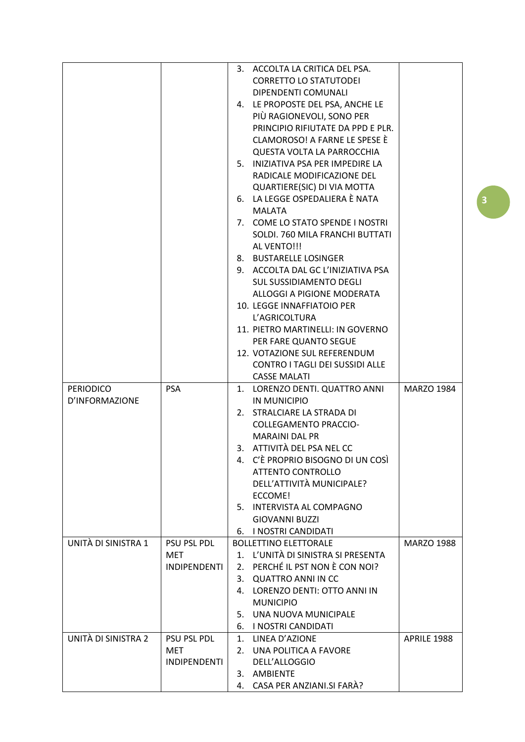|                     |                     |    | 3. ACCOLTA LA CRITICA DEL PSA.                                  |                   |
|---------------------|---------------------|----|-----------------------------------------------------------------|-------------------|
|                     |                     |    | <b>CORRETTO LO STATUTODEI</b>                                   |                   |
|                     |                     |    | DIPENDENTI COMUNALI                                             |                   |
|                     |                     |    | 4. LE PROPOSTE DEL PSA, ANCHE LE                                |                   |
|                     |                     |    | PIÙ RAGIONEVOLI, SONO PER                                       |                   |
|                     |                     |    | PRINCIPIO RIFIUTATE DA PPD E PLR.                               |                   |
|                     |                     |    | CLAMOROSO! A FARNE LE SPESE È                                   |                   |
|                     |                     |    | QUESTA VOLTA LA PARROCCHIA                                      |                   |
|                     |                     |    | 5. INIZIATIVA PSA PER IMPEDIRE LA                               |                   |
|                     |                     |    | RADICALE MODIFICAZIONE DEL                                      |                   |
|                     |                     |    | QUARTIERE(SIC) DI VIA MOTTA                                     |                   |
|                     |                     |    | 6. LA LEGGE OSPEDALIERA È NATA                                  |                   |
|                     |                     |    | <b>MALATA</b>                                                   |                   |
|                     |                     |    | 7. COME LO STATO SPENDE I NOSTRI                                |                   |
|                     |                     |    | SOLDI. 760 MILA FRANCHI BUTTATI                                 |                   |
|                     |                     |    | AL VENTO!!!                                                     |                   |
|                     |                     |    | 8. BUSTARELLE LOSINGER                                          |                   |
|                     |                     |    | 9. ACCOLTA DAL GC L'INIZIATIVA PSA                              |                   |
|                     |                     |    | <b>SUL SUSSIDIAMENTO DEGLI</b>                                  |                   |
|                     |                     |    | ALLOGGI A PIGIONE MODERATA                                      |                   |
|                     |                     |    | 10. LEGGE INNAFFIATOIO PER                                      |                   |
|                     |                     |    | L'AGRICOLTURA                                                   |                   |
|                     |                     |    | 11. PIETRO MARTINELLI: IN GOVERNO                               |                   |
|                     |                     |    | PER FARE QUANTO SEGUE                                           |                   |
|                     |                     |    | 12. VOTAZIONE SUL REFERENDUM<br>CONTRO I TAGLI DEI SUSSIDI ALLE |                   |
|                     |                     |    | <b>CASSE MALATI</b>                                             |                   |
| <b>PERIODICO</b>    | <b>PSA</b>          |    | 1. LORENZO DENTI. QUATTRO ANNI                                  | <b>MARZO 1984</b> |
| D'INFORMAZIONE      |                     |    | IN MUNICIPIO                                                    |                   |
|                     |                     |    | 2. STRALCIARE LA STRADA DI                                      |                   |
|                     |                     |    | <b>COLLEGAMENTO PRACCIO-</b>                                    |                   |
|                     |                     |    | <b>MARAINI DAL PR</b>                                           |                   |
|                     |                     |    | 3. ATTIVITÀ DEL PSA NEL CC                                      |                   |
|                     |                     |    | 4. C'È PROPRIO BISOGNO DI UN COSÌ                               |                   |
|                     |                     |    | <b>ATTENTO CONTROLLO</b>                                        |                   |
|                     |                     |    | DELL'ATTIVITÀ MUNICIPALE?                                       |                   |
|                     |                     |    | ECCOME!                                                         |                   |
|                     |                     |    | 5. INTERVISTA AL COMPAGNO                                       |                   |
|                     |                     |    | <b>GIOVANNI BUZZI</b>                                           |                   |
|                     |                     |    | 6. I NOSTRI CANDIDATI                                           |                   |
| UNITÀ DI SINISTRA 1 | PSU PSL PDL         |    | <b>BOLLETTINO ELETTORALE</b>                                    | <b>MARZO 1988</b> |
|                     | <b>MET</b>          | 1. | L'UNITÀ DI SINISTRA SI PRESENTA                                 |                   |
|                     | <b>INDIPENDENTI</b> | 2. | PERCHÉ IL PST NON È CON NOI?                                    |                   |
|                     |                     | 3. | <b>QUATTRO ANNI IN CC</b>                                       |                   |
|                     |                     | 4. | LORENZO DENTI: OTTO ANNI IN                                     |                   |
|                     |                     |    | <b>MUNICIPIO</b>                                                |                   |
|                     |                     |    | 5. UNA NUOVA MUNICIPALE                                         |                   |
|                     |                     |    | 6. I NOSTRI CANDIDATI                                           |                   |
| UNITÀ DI SINISTRA 2 | <b>PSU PSL PDL</b>  |    | 1. LINEA D'AZIONE                                               | APRILE 1988       |
|                     | <b>MET</b>          | 2. | UNA POLITICA A FAVORE                                           |                   |
|                     | <b>INDIPENDENTI</b> |    | DELL'ALLOGGIO                                                   |                   |
|                     |                     |    | 3. AMBIENTE                                                     |                   |
|                     |                     | 4. | CASA PER ANZIANI.SI FARA?                                       |                   |

 $\overline{\mathbf{3}}$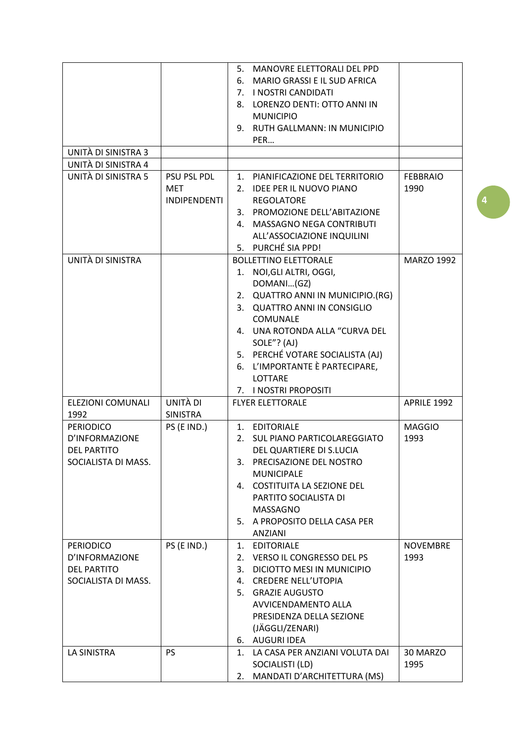|                                    |                     | 5.      | MANOVRE ELETTORALI DEL PPD                     |                   |
|------------------------------------|---------------------|---------|------------------------------------------------|-------------------|
|                                    |                     | 6.      | <b>MARIO GRASSI E IL SUD AFRICA</b>            |                   |
|                                    |                     |         | 7. I NOSTRI CANDIDATI                          |                   |
|                                    |                     |         | 8. LORENZO DENTI: OTTO ANNI IN                 |                   |
|                                    |                     |         | <b>MUNICIPIO</b>                               |                   |
|                                    |                     | 9.      | <b>RUTH GALLMANN: IN MUNICIPIO</b>             |                   |
|                                    |                     |         | PER                                            |                   |
| UNITÀ DI SINISTRA 3                |                     |         |                                                |                   |
| UNITÀ DI SINISTRA 4                |                     |         |                                                |                   |
| UNITÀ DI SINISTRA 5                | PSU PSL PDL         |         | 1. PIANIFICAZIONE DEL TERRITORIO               | <b>FEBBRAIO</b>   |
|                                    | <b>MET</b>          | 2.      | <b>IDEE PER IL NUOVO PIANO</b>                 | 1990              |
|                                    | <b>INDIPENDENTI</b> |         | <b>REGOLATORE</b>                              |                   |
|                                    |                     |         | 3. PROMOZIONE DELL'ABITAZIONE                  |                   |
|                                    |                     | 4.      | MASSAGNO NEGA CONTRIBUTI                       |                   |
|                                    |                     |         | ALL'ASSOCIAZIONE INQUILINI                     |                   |
|                                    |                     |         | 5. PURCHÉ SIA PPD!                             |                   |
| UNITÀ DI SINISTRA                  |                     |         | <b>BOLLETTINO ELETTORALE</b>                   | <b>MARZO 1992</b> |
|                                    |                     | 1.      | NOI, GLI ALTRI, OGGI,                          |                   |
|                                    |                     |         | DOMANI(GZ)                                     |                   |
|                                    |                     |         | 2. QUATTRO ANNI IN MUNICIPIO.(RG)              |                   |
|                                    |                     | 3.      | <b>QUATTRO ANNI IN CONSIGLIO</b>               |                   |
|                                    |                     |         | COMUNALE                                       |                   |
|                                    |                     |         | 4. UNA ROTONDA ALLA "CURVA DEL                 |                   |
|                                    |                     |         | SOLE"? (AJ)                                    |                   |
|                                    |                     |         | 5. PERCHÉ VOTARE SOCIALISTA (AJ)               |                   |
|                                    |                     | 6.      | L'IMPORTANTE È PARTECIPARE,                    |                   |
|                                    |                     |         | LOTTARE                                        |                   |
|                                    |                     |         | 7. I NOSTRI PROPOSITI                          |                   |
| ELEZIONI COMUNALI                  | UNITÀ DI            |         | <b>FLYER ELETTORALE</b>                        | APRILE 1992       |
| 1992                               | <b>SINISTRA</b>     |         |                                                |                   |
| <b>PERIODICO</b>                   | PS (E IND.)         |         | 1. EDITORIALE                                  | <b>MAGGIO</b>     |
| D'INFORMAZIONE                     |                     | $2_{-}$ | SUL PIANO PARTICOLAREGGIATO                    | 1993              |
| <b>DEL PARTITO</b>                 |                     |         | DEL QUARTIERE DI S.LUCIA                       |                   |
| SOCIALISTA DI MASS.                |                     |         | 3. PRECISAZIONE DEL NOSTRO                     |                   |
|                                    |                     |         | <b>MUNICIPALE</b>                              |                   |
|                                    |                     |         | 4. COSTITUITA LA SEZIONE DEL                   |                   |
|                                    |                     |         | PARTITO SOCIALISTA DI                          |                   |
|                                    |                     |         | <b>MASSAGNO</b>                                |                   |
|                                    |                     |         | 5. A PROPOSITO DELLA CASA PER                  |                   |
|                                    |                     |         | ANZIANI                                        |                   |
|                                    | PS (E IND.)         | 1.      | <b>EDITORIALE</b>                              | <b>NOVEMBRE</b>   |
| <b>PERIODICO</b><br>D'INFORMAZIONE |                     | 2.      | VERSO IL CONGRESSO DEL PS                      | 1993              |
|                                    |                     |         | DICIOTTO MESI IN MUNICIPIO                     |                   |
| <b>DEL PARTITO</b>                 |                     | 3.      |                                                |                   |
| SOCIALISTA DI MASS.                |                     | 4.      | <b>CREDERE NELL'UTOPIA</b>                     |                   |
|                                    |                     | 5.      | <b>GRAZIE AUGUSTO</b>                          |                   |
|                                    |                     |         | AVVICENDAMENTO ALLA                            |                   |
|                                    |                     |         | PRESIDENZA DELLA SEZIONE                       |                   |
|                                    |                     |         | (JÄGGLI/ZENARI)                                |                   |
|                                    |                     |         | 6. AUGURI IDEA                                 |                   |
| <b>LA SINISTRA</b>                 |                     |         |                                                |                   |
|                                    | <b>PS</b>           | 1.      | LA CASA PER ANZIANI VOLUTA DAI                 | 30 MARZO          |
|                                    |                     | 2.      | SOCIALISTI (LD)<br>MANDATI D'ARCHITETTURA (MS) | 1995              |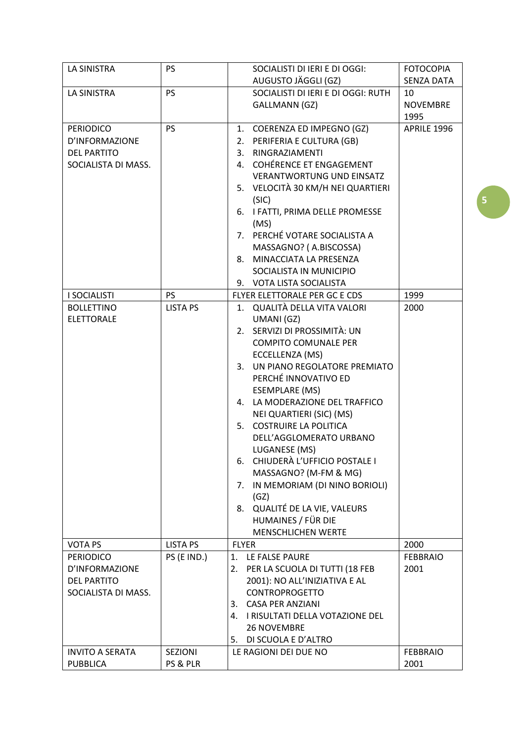| LA SINISTRA            | <b>PS</b>       | SOCIALISTI DI IERI E DI OGGI:        | <b>FOTOCOPIA</b>  |
|------------------------|-----------------|--------------------------------------|-------------------|
|                        |                 | AUGUSTO JÄGGLI (GZ)                  | <b>SENZA DATA</b> |
| <b>LA SINISTRA</b>     | <b>PS</b>       | SOCIALISTI DI IERI E DI OGGI: RUTH   | 10                |
|                        |                 | <b>GALLMANN (GZ)</b>                 | <b>NOVEMBRE</b>   |
|                        |                 |                                      | 1995              |
| <b>PERIODICO</b>       | <b>PS</b>       | 1. COERENZA ED IMPEGNO (GZ)          | APRILE 1996       |
| D'INFORMAZIONE         |                 | 2. PERIFERIA E CULTURA (GB)          |                   |
| <b>DEL PARTITO</b>     |                 | 3. RINGRAZIAMENTI                    |                   |
| SOCIALISTA DI MASS.    |                 | 4. COHÉRENCE ET ENGAGEMENT           |                   |
|                        |                 | <b>VERANTWORTUNG UND EINSATZ</b>     |                   |
|                        |                 | 5. VELOCITÀ 30 KM/H NEI QUARTIERI    |                   |
|                        |                 | (SIC)                                |                   |
|                        |                 | 6. I FATTI, PRIMA DELLE PROMESSE     |                   |
|                        |                 | (MS)                                 |                   |
|                        |                 | 7. PERCHÉ VOTARE SOCIALISTA A        |                   |
|                        |                 | MASSAGNO? (A.BISCOSSA)               |                   |
|                        |                 | 8. MINACCIATA LA PRESENZA            |                   |
|                        |                 | SOCIALISTA IN MUNICIPIO              |                   |
|                        |                 | 9. VOTA LISTA SOCIALISTA             |                   |
| <b>I SOCIALISTI</b>    | <b>PS</b>       | FLYER ELETTORALE PER GC E CDS        | 1999              |
| <b>BOLLETTINO</b>      | <b>LISTA PS</b> | 1. QUALITÀ DELLA VITA VALORI         | 2000              |
| <b>ELETTORALE</b>      |                 | UMANI (GZ)                           |                   |
|                        |                 | 2. SERVIZI DI PROSSIMITÀ: UN         |                   |
|                        |                 |                                      |                   |
|                        |                 | <b>COMPITO COMUNALE PER</b>          |                   |
|                        |                 | ECCELLENZA (MS)                      |                   |
|                        |                 | 3. UN PIANO REGOLATORE PREMIATO      |                   |
|                        |                 | PERCHÉ INNOVATIVO ED                 |                   |
|                        |                 | <b>ESEMPLARE (MS)</b>                |                   |
|                        |                 | 4. LA MODERAZIONE DEL TRAFFICO       |                   |
|                        |                 | NEI QUARTIERI (SIC) (MS)             |                   |
|                        |                 | 5. COSTRUIRE LA POLITICA             |                   |
|                        |                 | DELL'AGGLOMERATO URBANO              |                   |
|                        |                 | LUGANESE (MS)                        |                   |
|                        |                 | 6. CHIUDERÀ L'UFFICIO POSTALE I      |                   |
|                        |                 | MASSAGNO? (M-FM & MG)                |                   |
|                        |                 | 7. IN MEMORIAM (DI NINO BORIOLI)     |                   |
|                        |                 | (GZ)                                 |                   |
|                        |                 | 8. QUALITÉ DE LA VIE, VALEURS        |                   |
|                        |                 | HUMAINES / FÜR DIE                   |                   |
|                        |                 | <b>MENSCHLICHEN WERTE</b>            |                   |
| <b>VOTA PS</b>         | LISTA PS        | <b>FLYER</b>                         | 2000              |
| <b>PERIODICO</b>       | PS (E IND.)     | LE FALSE PAURE<br>1.                 | <b>FEBBRAIO</b>   |
| D'INFORMAZIONE         |                 | PER LA SCUOLA DI TUTTI (18 FEB<br>2. | 2001              |
| <b>DEL PARTITO</b>     |                 | 2001): NO ALL'INIZIATIVA E AL        |                   |
| SOCIALISTA DI MASS.    |                 | <b>CONTROPROGETTO</b>                |                   |
|                        |                 | 3. CASA PER ANZIANI                  |                   |
|                        |                 | 4. I RISULTATI DELLA VOTAZIONE DEL   |                   |
|                        |                 | <b>26 NOVEMBRE</b>                   |                   |
|                        |                 | DI SCUOLA E D'ALTRO<br>5.            |                   |
| <b>INVITO A SERATA</b> | SEZIONI         | LE RAGIONI DEI DUE NO                | <b>FEBBRAIO</b>   |
| <b>PUBBLICA</b>        | PS & PLR        |                                      | 2001              |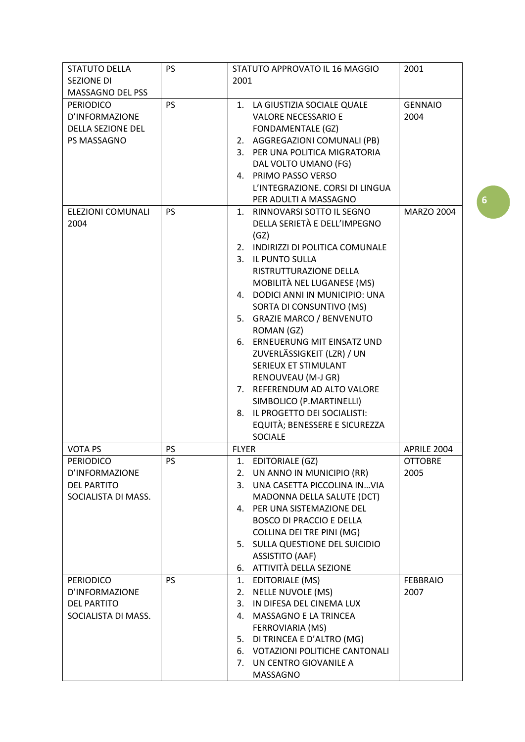| <b>STATUTO DELLA</b>     | <b>PS</b> | STATUTO APPROVATO IL 16 MAGGIO           | 2001              |
|--------------------------|-----------|------------------------------------------|-------------------|
| <b>SEZIONE DI</b>        |           | 2001                                     |                   |
| MASSAGNO DEL PSS         |           |                                          |                   |
| <b>PERIODICO</b>         | <b>PS</b> | 1. LA GIUSTIZIA SOCIALE QUALE            | <b>GENNAIO</b>    |
| D'INFORMAZIONE           |           | <b>VALORE NECESSARIO E</b>               | 2004              |
| <b>DELLA SEZIONE DEL</b> |           | <b>FONDAMENTALE (GZ)</b>                 |                   |
| PS MASSAGNO              |           | 2. AGGREGAZIONI COMUNALI (PB)            |                   |
|                          |           | 3. PER UNA POLITICA MIGRATORIA           |                   |
|                          |           | DAL VOLTO UMANO (FG)                     |                   |
|                          |           | 4. PRIMO PASSO VERSO                     |                   |
|                          |           | L'INTEGRAZIONE. CORSI DI LINGUA          |                   |
|                          |           | PER ADULTI A MASSAGNO                    |                   |
| ELEZIONI COMUNALI        | <b>PS</b> | RINNOVARSI SOTTO IL SEGNO<br>$1_{\cdot}$ | <b>MARZO 2004</b> |
| 2004                     |           | DELLA SERIETÀ E DELL'IMPEGNO             |                   |
|                          |           | (GZ)                                     |                   |
|                          |           | 2. INDIRIZZI DI POLITICA COMUNALE        |                   |
|                          |           | 3. IL PUNTO SULLA                        |                   |
|                          |           | RISTRUTTURAZIONE DELLA                   |                   |
|                          |           | MOBILITÀ NEL LUGANESE (MS)               |                   |
|                          |           | 4. DODICI ANNI IN MUNICIPIO: UNA         |                   |
|                          |           | SORTA DI CONSUNTIVO (MS)                 |                   |
|                          |           | 5. GRAZIE MARCO / BENVENUTO              |                   |
|                          |           | ROMAN (GZ)                               |                   |
|                          |           | 6. ERNEUERUNG MIT EINSATZ UND            |                   |
|                          |           | ZUVERLÄSSIGKEIT (LZR) / UN               |                   |
|                          |           | SERIEUX ET STIMULANT                     |                   |
|                          |           |                                          |                   |
|                          |           | RENOUVEAU (M-J GR)                       |                   |
|                          |           | 7. REFERENDUM AD ALTO VALORE             |                   |
|                          |           | SIMBOLICO (P.MARTINELLI)                 |                   |
|                          |           | IL PROGETTO DEI SOCIALISTI:<br>8.        |                   |
|                          |           | EQUITÀ; BENESSERE E SICUREZZA            |                   |
|                          |           | <b>SOCIALE</b>                           |                   |
| <b>VOTA PS</b>           | <b>PS</b> | <b>FLYER</b>                             | APRILE 2004       |
| <b>PERIODICO</b>         | PS        | 1. EDITORIALE (GZ)                       | <b>OTTOBRE</b>    |
| D'INFORMAZIONE           |           | 2. UN ANNO IN MUNICIPIO (RR)             | 2005              |
| <b>DEL PARTITO</b>       |           | 3. UNA CASETTA PICCOLINA INVIA           |                   |
| SOCIALISTA DI MASS.      |           | MADONNA DELLA SALUTE (DCT)               |                   |
|                          |           | 4. PER UNA SISTEMAZIONE DEL              |                   |
|                          |           | <b>BOSCO DI PRACCIO E DELLA</b>          |                   |
|                          |           | COLLINA DEI TRE PINI (MG)                |                   |
|                          |           | 5. SULLA QUESTIONE DEL SUICIDIO          |                   |
|                          |           | <b>ASSISTITO (AAF)</b>                   |                   |
|                          |           | ATTIVITÀ DELLA SEZIONE<br>6.             |                   |
| <b>PERIODICO</b>         | <b>PS</b> | EDITORIALE (MS)<br>1.                    | <b>FEBBRAIO</b>   |
| D'INFORMAZIONE           |           | <b>NELLE NUVOLE (MS)</b><br>2.           | 2007              |
| <b>DEL PARTITO</b>       |           | IN DIFESA DEL CINEMA LUX<br>3.           |                   |
| SOCIALISTA DI MASS.      |           | MASSAGNO E LA TRINCEA<br>4.              |                   |
|                          |           | FERROVIARIA (MS)                         |                   |
|                          |           | 5. DI TRINCEA E D'ALTRO (MG)             |                   |
|                          |           | VOTAZIONI POLITICHE CANTONALI<br>6.      |                   |
|                          |           | 7. UN CENTRO GIOVANILE A                 |                   |
|                          |           | MASSAGNO                                 |                   |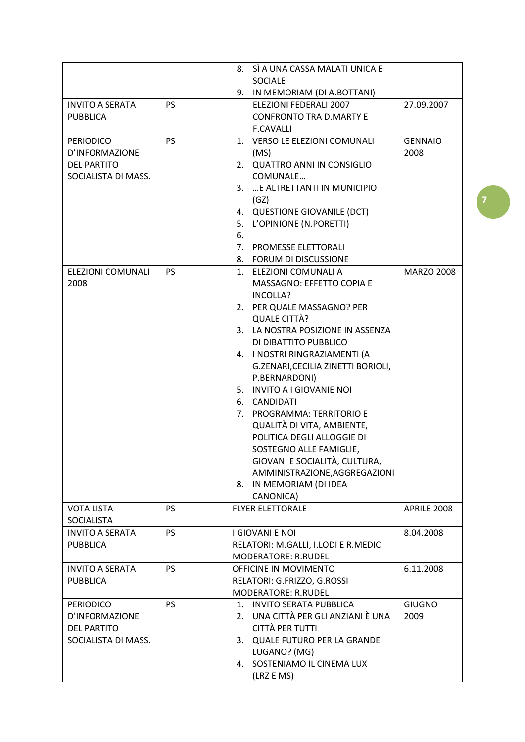|                          |           | SÌ A UNA CASSA MALATI UNICA E<br>8.    |                   |
|--------------------------|-----------|----------------------------------------|-------------------|
|                          |           | <b>SOCIALE</b>                         |                   |
|                          |           | 9. IN MEMORIAM (DI A.BOTTANI)          |                   |
| <b>INVITO A SERATA</b>   | <b>PS</b> | ELEZIONI FEDERALI 2007                 | 27.09.2007        |
| <b>PUBBLICA</b>          |           | <b>CONFRONTO TRA D.MARTY E</b>         |                   |
|                          |           | <b>F.CAVALLI</b>                       |                   |
| <b>PERIODICO</b>         | <b>PS</b> | 1. VERSO LE ELEZIONI COMUNALI          | <b>GENNAIO</b>    |
| D'INFORMAZIONE           |           | (MS)                                   | 2008              |
| <b>DEL PARTITO</b>       |           | 2. QUATTRO ANNI IN CONSIGLIO           |                   |
| SOCIALISTA DI MASS.      |           | COMUNALE                               |                   |
|                          |           |                                        |                   |
|                          |           | 3.  E ALTRETTANTI IN MUNICIPIO         |                   |
|                          |           | (GZ)                                   |                   |
|                          |           | <b>QUESTIONE GIOVANILE (DCT)</b><br>4. |                   |
|                          |           | L'OPINIONE (N.PORETTI)<br>5.           |                   |
|                          |           | 6.                                     |                   |
|                          |           | 7.<br>PROMESSE ELETTORALI              |                   |
|                          |           | 8. FORUM DI DISCUSSIONE                |                   |
| <b>ELEZIONI COMUNALI</b> | PS        | 1. ELEZIONI COMUNALI A                 | <b>MARZO 2008</b> |
| 2008                     |           | MASSAGNO: EFFETTO COPIA E              |                   |
|                          |           | INCOLLA?                               |                   |
|                          |           | 2. PER QUALE MASSAGNO? PER             |                   |
|                          |           | QUALE CITTÀ?                           |                   |
|                          |           | 3. LA NOSTRA POSIZIONE IN ASSENZA      |                   |
|                          |           | DI DIBATTITO PUBBLICO                  |                   |
|                          |           | 4. I NOSTRI RINGRAZIAMENTI (A          |                   |
|                          |           | G.ZENARI, CECILIA ZINETTI BORIOLI,     |                   |
|                          |           | P.BERNARDONI)                          |                   |
|                          |           | 5. INVITO A I GIOVANIE NOI             |                   |
|                          |           | <b>CANDIDATI</b><br>6.                 |                   |
|                          |           | PROGRAMMA: TERRITORIO E<br>7.          |                   |
|                          |           | QUALITÀ DI VITA, AMBIENTE,             |                   |
|                          |           | POLITICA DEGLI ALLOGGIE DI             |                   |
|                          |           | SOSTEGNO ALLE FAMIGLIE,                |                   |
|                          |           | GIOVANI E SOCIALITÀ, CULTURA,          |                   |
|                          |           | AMMINISTRAZIONE, AGGREGAZIONI          |                   |
|                          |           | 8. IN MEMORIAM (DI IDEA                |                   |
|                          |           | CANONICA)                              |                   |
| <b>VOTA LISTA</b>        | <b>PS</b> | <b>FLYER ELETTORALE</b>                | APRILE 2008       |
| <b>SOCIALISTA</b>        |           |                                        |                   |
| <b>INVITO A SERATA</b>   | <b>PS</b> | <b>LGIOVANI E NOL</b>                  | 8.04.2008         |
| <b>PUBBLICA</b>          |           | RELATORI: M.GALLI, I.LODI E R.MEDICI   |                   |
|                          |           | <b>MODERATORE: R.RUDEL</b>             |                   |
| <b>INVITO A SERATA</b>   | <b>PS</b> | OFFICINE IN MOVIMENTO                  | 6.11.2008         |
| <b>PUBBLICA</b>          |           | RELATORI: G.FRIZZO, G.ROSSI            |                   |
|                          |           | <b>MODERATORE: R.RUDEL</b>             |                   |
| <b>PERIODICO</b>         | PS        | 1. INVITO SERATA PUBBLICA              | <b>GIUGNO</b>     |
| D'INFORMAZIONE           |           | UNA CITTÀ PER GLI ANZIANI È UNA<br>2.  | 2009              |
| <b>DEL PARTITO</b>       |           | CITTÀ PER TUTTI                        |                   |
| SOCIALISTA DI MASS.      |           | QUALE FUTURO PER LA GRANDE<br>3.       |                   |
|                          |           |                                        |                   |
|                          |           | LUGANO? (MG)                           |                   |
|                          |           | 4. SOSTENIAMO IL CINEMA LUX            |                   |
|                          |           | (LRZ E MS)                             |                   |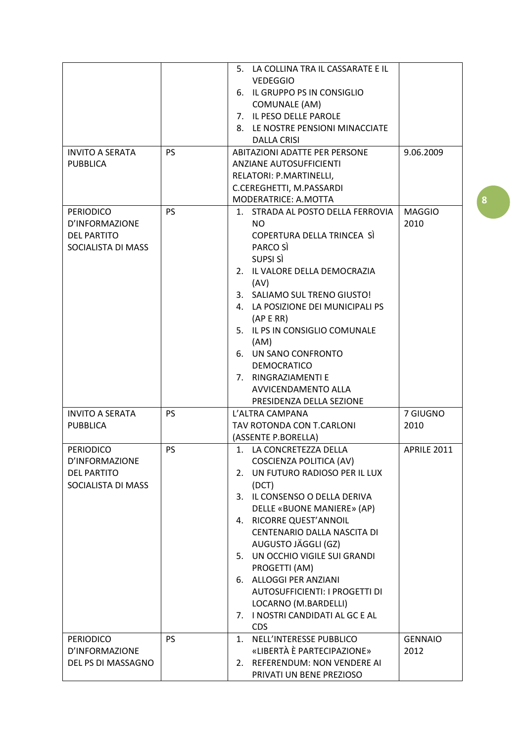|                        |           | 5. LA COLLINA TRA IL CASSARATE E IL |                |
|------------------------|-----------|-------------------------------------|----------------|
|                        |           | <b>VEDEGGIO</b>                     |                |
|                        |           | 6. IL GRUPPO PS IN CONSIGLIO        |                |
|                        |           | COMUNALE (AM)                       |                |
|                        |           |                                     |                |
|                        |           | 7. IL PESO DELLE PAROLE             |                |
|                        |           | 8. LE NOSTRE PENSIONI MINACCIATE    |                |
|                        |           | <b>DALLA CRISI</b>                  |                |
| <b>INVITO A SERATA</b> | <b>PS</b> | ABITAZIONI ADATTE PER PERSONE       | 9.06.2009      |
| <b>PUBBLICA</b>        |           | ANZIANE AUTOSUFFICIENTI             |                |
|                        |           | RELATORI: P.MARTINELLI,             |                |
|                        |           | C.CEREGHETTI, M.PASSARDI            |                |
|                        |           | MODERATRICE: A.MOTTA                |                |
| <b>PERIODICO</b>       | <b>PS</b> | 1. STRADA AL POSTO DELLA FERROVIA   | <b>MAGGIO</b>  |
| D'INFORMAZIONE         |           | NO.                                 | 2010           |
| <b>DEL PARTITO</b>     |           | COPERTURA DELLA TRINCEA SÌ          |                |
| SOCIALISTA DI MASS     |           | PARCO SÌ                            |                |
|                        |           | SUPSI SÌ                            |                |
|                        |           |                                     |                |
|                        |           | 2. IL VALORE DELLA DEMOCRAZIA       |                |
|                        |           | (AV)                                |                |
|                        |           | 3. SALIAMO SUL TRENO GIUSTO!        |                |
|                        |           | 4. LA POSIZIONE DEI MUNICIPALI PS   |                |
|                        |           | (AP E RR)                           |                |
|                        |           | 5. IL PS IN CONSIGLIO COMUNALE      |                |
|                        |           | (AM)                                |                |
|                        |           | 6. UN SANO CONFRONTO                |                |
|                        |           | <b>DEMOCRATICO</b>                  |                |
|                        |           | 7. RINGRAZIAMENTI E                 |                |
|                        |           | AVVICENDAMENTO ALLA                 |                |
|                        |           | PRESIDENZA DELLA SEZIONE            |                |
| <b>INVITO A SERATA</b> | <b>PS</b> | L'ALTRA CAMPANA                     | 7 GIUGNO       |
| <b>PUBBLICA</b>        |           | TAV ROTONDA CON T.CARLONI           | 2010           |
|                        |           |                                     |                |
|                        |           | (ASSENTE P.BORELLA)                 |                |
| <b>PERIODICO</b>       | <b>PS</b> | 1. LA CONCRETEZZA DELLA             | APRILE 2011    |
| D'INFORMAZIONE         |           | COSCIENZA POLITICA (AV)             |                |
| <b>DEL PARTITO</b>     |           | 2. UN FUTURO RADIOSO PER IL LUX     |                |
| SOCIALISTA DI MASS     |           | (DCT)                               |                |
|                        |           | 3. IL CONSENSO O DELLA DERIVA       |                |
|                        |           | DELLE «BUONE MANIERE» (AP)          |                |
|                        |           | 4. RICORRE QUEST'ANNOIL             |                |
|                        |           | CENTENARIO DALLA NASCITA DI         |                |
|                        |           | AUGUSTO JÄGGLI (GZ)                 |                |
|                        |           | 5. UN OCCHIO VIGILE SUI GRANDI      |                |
|                        |           | PROGETTI (AM)                       |                |
|                        |           | 6. ALLOGGI PER ANZIANI              |                |
|                        |           | AUTOSUFFICIENTI: I PROGETTI DI      |                |
|                        |           |                                     |                |
|                        |           | LOCARNO (M.BARDELLI)                |                |
|                        |           | 7. I NOSTRI CANDIDATI AL GC E AL    |                |
|                        |           | <b>CDS</b>                          |                |
| <b>PERIODICO</b>       | <b>PS</b> | 1. NELL'INTERESSE PUBBLICO          | <b>GENNAIO</b> |
| D'INFORMAZIONE         |           | «LIBERTÀ È PARTECIPAZIONE»          | 2012           |
| DEL PS DI MASSAGNO     |           | 2. REFERENDUM: NON VENDERE AI       |                |
|                        |           | PRIVATI UN BENE PREZIOSO            |                |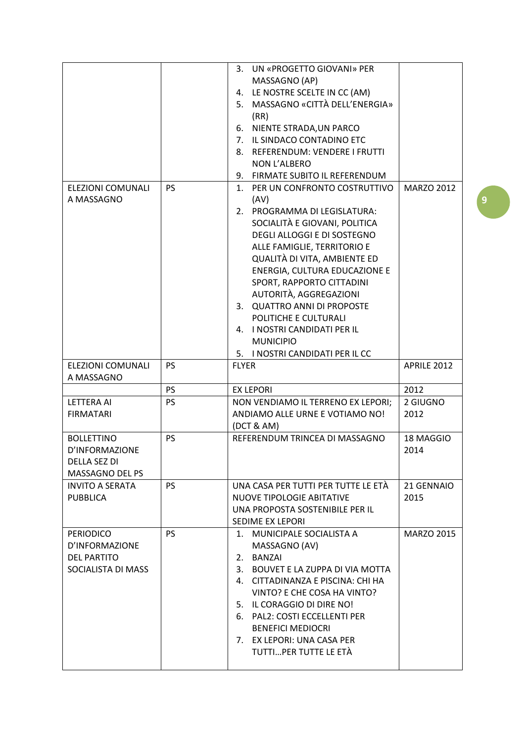|                        |           | UN «PROGETTO GIOVANI» PER<br>3.     |                   |
|------------------------|-----------|-------------------------------------|-------------------|
|                        |           | MASSAGNO (AP)                       |                   |
|                        |           | 4. LE NOSTRE SCELTE IN CC (AM)      |                   |
|                        |           | 5. MASSAGNO «CITTÀ DELL'ENERGIA»    |                   |
|                        |           | (RR)                                |                   |
|                        |           | 6. NIENTE STRADA, UN PARCO          |                   |
|                        |           | 7. IL SINDACO CONTADINO ETC         |                   |
|                        |           |                                     |                   |
|                        |           | 8. REFERENDUM: VENDERE I FRUTTI     |                   |
|                        |           | NON L'ALBERO                        |                   |
|                        |           | 9. FIRMATE SUBITO IL REFERENDUM     |                   |
| ELEZIONI COMUNALI      | <b>PS</b> | 1. PER UN CONFRONTO COSTRUTTIVO     | <b>MARZO 2012</b> |
| A MASSAGNO             |           | (AV)                                |                   |
|                        |           | 2. PROGRAMMA DI LEGISLATURA:        |                   |
|                        |           | SOCIALITÀ E GIOVANI, POLITICA       |                   |
|                        |           | DEGLI ALLOGGI E DI SOSTEGNO         |                   |
|                        |           | ALLE FAMIGLIE, TERRITORIO E         |                   |
|                        |           | QUALITÀ DI VITA, AMBIENTE ED        |                   |
|                        |           | ENERGIA, CULTURA EDUCAZIONE E       |                   |
|                        |           | SPORT, RAPPORTO CITTADINI           |                   |
|                        |           | AUTORITÀ, AGGREGAZIONI              |                   |
|                        |           | 3. QUATTRO ANNI DI PROPOSTE         |                   |
|                        |           | POLITICHE E CULTURALI               |                   |
|                        |           | 4. I NOSTRI CANDIDATI PER IL        |                   |
|                        |           | <b>MUNICIPIO</b>                    |                   |
|                        |           |                                     |                   |
|                        |           | 5. I NOSTRI CANDIDATI PER IL CC     |                   |
| ELEZIONI COMUNALI      | <b>PS</b> | <b>FLYER</b>                        | APRILE 2012       |
| A MASSAGNO             |           |                                     |                   |
|                        |           |                                     |                   |
|                        | <b>PS</b> | <b>EX LEPORI</b>                    | 2012              |
| <b>LETTERA AI</b>      | <b>PS</b> | NON VENDIAMO IL TERRENO EX LEPORI;  | 2 GIUGNO          |
| <b>FIRMATARI</b>       |           | ANDIAMO ALLE URNE E VOTIAMO NO!     | 2012              |
|                        |           | (DCT & AM)                          |                   |
| <b>BOLLETTINO</b>      | <b>PS</b> | REFERENDUM TRINCEA DI MASSAGNO      | 18 MAGGIO         |
| D'INFORMAZIONE         |           |                                     | 2014              |
| <b>DELLA SEZ DI</b>    |           |                                     |                   |
| MASSAGNO DEL PS        |           |                                     |                   |
| <b>INVITO A SERATA</b> | <b>PS</b> | UNA CASA PER TUTTI PER TUTTE LE ETÀ | 21 GENNAIO        |
|                        |           |                                     |                   |
| <b>PUBBLICA</b>        |           | <b>NUOVE TIPOLOGIE ABITATIVE</b>    | 2015              |
|                        |           | UNA PROPOSTA SOSTENIBILE PER IL     |                   |
|                        |           | SEDIME EX LEPORI                    |                   |
| <b>PERIODICO</b>       | <b>PS</b> | 1. MUNICIPALE SOCIALISTA A          | <b>MARZO 2015</b> |
| D'INFORMAZIONE         |           | MASSAGNO (AV)                       |                   |
| <b>DEL PARTITO</b>     |           | 2. BANZAI                           |                   |
| SOCIALISTA DI MASS     |           | 3. BOUVET E LA ZUPPA DI VIA MOTTA   |                   |
|                        |           | 4. CITTADINANZA E PISCINA: CHI HA   |                   |
|                        |           | VINTO? E CHE COSA HA VINTO?         |                   |
|                        |           | 5. IL CORAGGIO DI DIRE NO!          |                   |
|                        |           | 6. PAL2: COSTI ECCELLENTI PER       |                   |
|                        |           | <b>BENEFICI MEDIOCRI</b>            |                   |
|                        |           | 7. EX LEPORI: UNA CASA PER          |                   |
|                        |           | TUTTIPER TUTTE LE ETÀ               |                   |